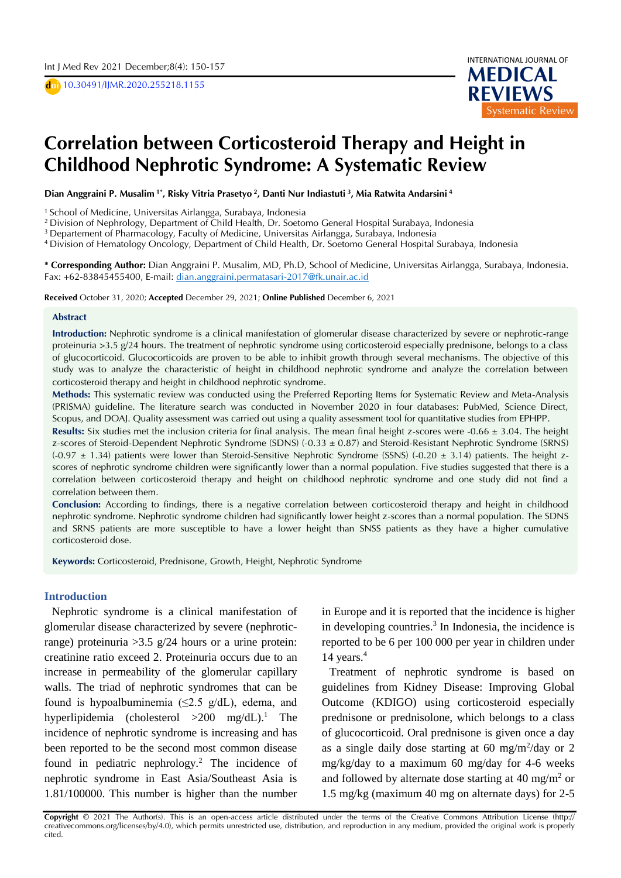D **doi** 10.30491/IJMR.2020.255218.1155



# **Correlation between Corticosteroid Therapy and Height in**  $\overline{a}$ **Childhood Nephrotic Syndrome: A Systematic Review**

D **Dian Anggraini P. Musalim 1\* , Risky Vitria Prasetyo <sup>2</sup> , Danti Nur Indiastuti <sup>3</sup> , Mia Ratwita Andarsini <sup>4</sup>**

<sup>1</sup> School of Medicine, Universitas Airlangga, Surabaya, Indonesia

<sup>2</sup> Division of Nephrology, Department of Child Health, Dr. Soetomo General Hospital Surabaya, Indonesia

<sup>3</sup> Departement of Pharmacology, Faculty of Medicine, Universitas Airlangga, Surabaya, Indonesia

<sup>4</sup>Division of Hematology Oncology, Department of Child Health, Dr. Soetomo General Hospital Surabaya, Indonesia

**\* Corresponding Author:** Dian Anggraini P. Musalim, MD, Ph.D, School of Medicine, Universitas Airlangga, Surabaya, Indonesia. Fax: +62-83845455400, E-mail: [dian.anggraini.permatasari-2017@fk.unair.ac.id](mailto:dian.anggraini.permatasari-2017@fk.unair.ac.id)

**Received** October 31, 2020; **Accepted** December 29, 2021; **Online Published** December 6, 2021

#### **Abstract**

**Introduction:** Nephrotic syndrome is a clinical manifestation of glomerular disease characterized by severe or nephrotic-range proteinuria >3.5 g/24 hours. The treatment of nephrotic syndrome using corticosteroid especially prednisone, belongs to a class of glucocorticoid. Glucocorticoids are proven to be able to inhibit growth through several mechanisms. The objective of this study was to analyze the characteristic of height in childhood nephrotic syndrome and analyze the correlation between corticosteroid therapy and height in childhood nephrotic syndrome.

**Methods:** This systematic review was conducted using the Preferred Reporting Items for Systematic Review and Meta-Analysis (PRISMA) guideline. The literature search was conducted in November 2020 in four databases: PubMed, Science Direct, Scopus, and DOAJ. Quality assessment was carried out using a quality assessment tool for quantitative studies from EPHPP.

Results: Six studies met the inclusion criteria for final analysis. The mean final height z-scores were -0.66 ± 3.04. The height z-scores of Steroid-Dependent Nephrotic Syndrome (SDNS) (-0.33 ± 0.87) and Steroid-Resistant Nephrotic Syndrome (SRNS)  $(-0.97 \pm 1.34)$  patients were lower than Steroid-Sensitive Nephrotic Syndrome (SSNS)  $(-0.20 \pm 3.14)$  patients. The height zscores of nephrotic syndrome children were significantly lower than a normal population. Five studies suggested that there is a correlation between corticosteroid therapy and height on childhood nephrotic syndrome and one study did not find a correlation between them.

**Conclusion:** According to findings, there is a negative correlation between corticosteroid therapy and height in childhood nephrotic syndrome. Nephrotic syndrome children had significantly lower height z-scores than a normal population. The SDNS and SRNS patients are more susceptible to have a lower height than SNSS patients as they have a higher cumulative corticosteroid dose.

**Keywords:** Corticosteroid, Prednisone, Growth, Height, Nephrotic Syndrome

### **Introduction**

Nephrotic syndrome is a clinical manifestation of glomerular disease characterized by severe (nephroticrange) proteinuria  $>3.5$  g/24 hours or a urine protein: creatinine ratio exceed 2. Proteinuria occurs due to an increase in permeability of the glomerular capillary walls. The triad of nephrotic syndromes that can be found is hypoalbuminemia ( $\leq$ 2.5 g/dL), edema, and hyperlipidemia (cholesterol  $>200$  mg/dL).<sup>1</sup> The incidence of nephrotic syndrome is increasing and has been reported to be the second most common disease found in pediatric nephrology.<sup>2</sup> The incidence of nephrotic syndrome in East Asia/Southeast Asia is 1.81/100000. This number is higher than the number

in Europe and it is reported that the incidence is higher in developing countries.<sup>3</sup> In Indonesia, the incidence is reported to be 6 per 100 000 per year in children under 14 years.<sup>4</sup>

Treatment of nephrotic syndrome is based on guidelines from Kidney Disease: Improving Global Outcome (KDIGO) using corticosteroid especially prednisone or prednisolone, which belongs to a class of glucocorticoid. Oral prednisone is given once a day as a single daily dose starting at  $60 \text{ mg/m}^2/\text{day}$  or  $2$ mg/kg/day to a maximum 60 mg/day for 4-6 weeks and followed by alternate dose starting at 40 mg/m<sup>2</sup> or 1.5 mg/kg (maximum 40 mg on alternate days) for 2-5

Copyright  $\odot$  2021 The Author(s). This is an open-access article distributed under the terms of the Creative Commons Attribution License (http:// creativecommons.org/licenses/by/4.0), which permits unrestricted use, distribution, and reproduction in any medium, provided the original work is properly cited.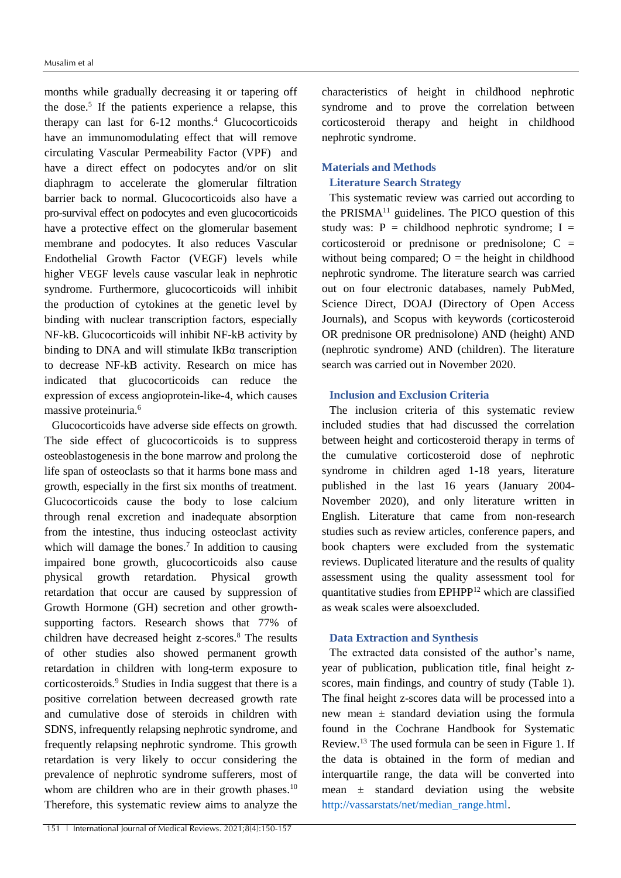months while gradually decreasing it or tapering off the dose.<sup>5</sup> If the patients experience a relapse, this therapy can last for  $6-12$  months.<sup>4</sup> Glucocorticoids have an immunomodulating effect that will remove circulating Vascular Permeability Factor (VPF) and have a direct effect on podocytes and/or on slit diaphragm to accelerate the glomerular filtration barrier back to normal. Glucocorticoids also have a pro-survival effect on podocytes and even glucocorticoids have a protective effect on the glomerular basement membrane and podocytes. It also reduces Vascular Endothelial Growth Factor (VEGF) levels while higher VEGF levels cause vascular leak in nephrotic syndrome. Furthermore, glucocorticoids will inhibit the production of cytokines at the genetic level by binding with nuclear transcription factors, especially NF-kB. Glucocorticoids will inhibit NF-kB activity by binding to DNA and will stimulate IkBα transcription to decrease NF-kB activity. Research on mice has indicated that glucocorticoids can reduce the expression of excess angioprotein-like-4, which causes massive proteinuria.<sup>6</sup>

Glucocorticoids have adverse side effects on growth. The side effect of glucocorticoids is to suppress osteoblastogenesis in the bone marrow and prolong the life span of osteoclasts so that it harms bone mass and growth, especially in the first six months of treatment. Glucocorticoids cause the body to lose calcium through renal excretion and inadequate absorption from the intestine, thus inducing osteoclast activity which will damage the bones.<sup>7</sup> In addition to causing impaired bone growth, glucocorticoids also cause physical growth retardation. Physical growth retardation that occur are caused by suppression of Growth Hormone (GH) secretion and other growthsupporting factors. Research shows that 77% of children have decreased height z-scores.<sup>8</sup> The results of other studies also showed permanent growth retardation in children with long-term exposure to corticosteroids.<sup>9</sup> Studies in India suggest that there is a positive correlation between decreased growth rate and cumulative dose of steroids in children with SDNS, infrequently relapsing nephrotic syndrome, and frequently relapsing nephrotic syndrome. This growth retardation is very likely to occur considering the prevalence of nephrotic syndrome sufferers, most of whom are children who are in their growth phases.<sup>10</sup> Therefore, this systematic review aims to analyze the characteristics of height in childhood nephrotic syndrome and to prove the correlation between corticosteroid therapy and height in childhood nephrotic syndrome.

## **Materials and Methods**

## **Literature Search Strategy**

This systematic review was carried out according to the PRISM $A<sup>11</sup>$  guidelines. The PICO question of this study was:  $P =$  childhood nephrotic syndrome; I = corticosteroid or prednisone or prednisolone; C = without being compared;  $O =$  the height in childhood nephrotic syndrome. The literature search was carried out on four electronic databases, namely PubMed, Science Direct, DOAJ (Directory of Open Access Journals), and Scopus with keywords (corticosteroid OR prednisone OR prednisolone) AND (height) AND (nephrotic syndrome) AND (children). The literature search was carried out in November 2020.

### **Inclusion and Exclusion Criteria**

The inclusion criteria of this systematic review included studies that had discussed the correlation between height and corticosteroid therapy in terms of the cumulative corticosteroid dose of nephrotic syndrome in children aged 1-18 years, literature published in the last 16 years (January 2004- November 2020), and only literature written in English. Literature that came from non-research studies such as review articles, conference papers, and book chapters were excluded from the systematic reviews. Duplicated literature and the results of quality assessment using the quality assessment tool for quantitative studies from EPHPP<sup>12</sup> which are classified as weak scales were alsoexcluded.

### **Data Extraction and Synthesis**

The extracted data consisted of the author's name, year of publication, publication title, final height zscores, main findings, and country of study (Table 1). The final height z-scores data will be processed into a new mean  $\pm$  standard deviation using the formula found in the Cochrane Handbook for Systematic Review.<sup>13</sup> The used formula can be seen in Figure 1. If the data is obtained in the form of median and interquartile range, the data will be converted into mean  $\pm$  standard deviation using the website [http://vassarstats/net/median\\_range.html.](http://vassarstats/net/median_range.html)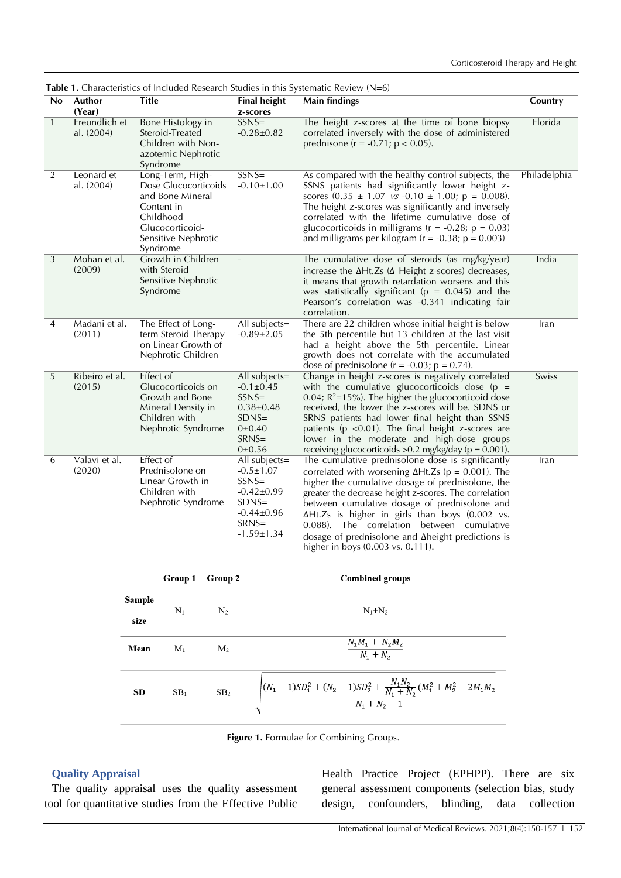|              | <b>ravic 1.</b> Characteristics of included research studies in this systematic review (19–0)<br><b>Title</b><br><b>Final height</b><br><b>Main findings</b><br>Author<br>No. |                                                                                                                                               |                                                                                                                               |                                                                                                                                                                                                                                                                                                                                                                                                                                                                                 | Country      |
|--------------|-------------------------------------------------------------------------------------------------------------------------------------------------------------------------------|-----------------------------------------------------------------------------------------------------------------------------------------------|-------------------------------------------------------------------------------------------------------------------------------|---------------------------------------------------------------------------------------------------------------------------------------------------------------------------------------------------------------------------------------------------------------------------------------------------------------------------------------------------------------------------------------------------------------------------------------------------------------------------------|--------------|
|              | (Year)                                                                                                                                                                        |                                                                                                                                               | z-scores                                                                                                                      |                                                                                                                                                                                                                                                                                                                                                                                                                                                                                 |              |
| $\mathbf{1}$ | Freundlich et<br>al. (2004)                                                                                                                                                   | Bone Histology in<br>Steroid-Treated<br>Children with Non-<br>azotemic Nephrotic<br>Syndrome                                                  | $SSNS=$<br>$-0.28 \pm 0.82$                                                                                                   | The height z-scores at the time of bone biopsy<br>correlated inversely with the dose of administered<br>prednisone ( $r = -0.71$ ; $p < 0.05$ ).                                                                                                                                                                                                                                                                                                                                | Florida      |
| 2            | Leonard et<br>al. (2004)                                                                                                                                                      | Long-Term, High-<br>Dose Glucocorticoids<br>and Bone Mineral<br>Content in<br>Childhood<br>Glucocorticoid-<br>Sensitive Nephrotic<br>Syndrome | $SSNS=$<br>$-0.10 \pm 1.00$                                                                                                   | As compared with the healthy control subjects, the<br>SSNS patients had significantly lower height z-<br>scores $(0.35 \pm 1.07 \text{ vs } -0.10 \pm 1.00; \text{ p} = 0.008)$ .<br>The height z-scores was significantly and inversely<br>correlated with the lifetime cumulative dose of<br>glucocorticoids in milligrams ( $r = -0.28$ ; $p = 0.03$ )<br>and milligrams per kilogram ( $r = -0.38$ ; $p = 0.003$ )                                                          | Philadelphia |
| 3            | Mohan et al.<br>(2009)                                                                                                                                                        | Growth in Children<br>with Steroid<br>Sensitive Nephrotic<br>Syndrome                                                                         |                                                                                                                               | The cumulative dose of steroids (as mg/kg/year)<br>increase the $\Delta Ht.Zs$ ( $\Delta$ Height z-scores) decreases,<br>it means that growth retardation worsens and this<br>was statistically significant ( $p = 0.045$ ) and the<br>Pearson's correlation was -0.341 indicating fair<br>correlation.                                                                                                                                                                         | India        |
| 4            | Madani et al.<br>(2011)                                                                                                                                                       | The Effect of Long-<br>term Steroid Therapy<br>on Linear Growth of<br>Nephrotic Children                                                      | All subjects=<br>$-0.89 \pm 2.05$                                                                                             | There are 22 children whose initial height is below<br>the 5th percentile but 13 children at the last visit<br>had a height above the 5th percentile. Linear<br>growth does not correlate with the accumulated<br>dose of prednisolone ( $r = -0.03$ ; $p = 0.74$ ).                                                                                                                                                                                                            | Iran         |
| 5            | Ribeiro et al.<br>(2015)                                                                                                                                                      | Effect of<br>Glucocorticoids on<br>Growth and Bone<br>Mineral Density in<br>Children with<br>Nephrotic Syndrome                               | All subjects=<br>$-0.1 \pm 0.45$<br>$SSNS=$<br>$0.38 \pm 0.48$<br>$SDNS=$<br>0±0.40<br>$SRNS=$<br>0±0.56                      | Change in height z-scores is negatively correlated<br>with the cumulative glucocorticoids dose ( $p =$<br>0.04; $R^2 = 15\%$ ). The higher the glucocorticoid dose<br>received, the lower the z-scores will be. SDNS or<br>SRNS patients had lower final height than SSNS<br>patients ( $p$ < 0.01). The final height z-scores are<br>lower in the moderate and high-dose groups<br>receiving glucocorticoids $>0.2$ mg/kg/day ( $p = 0.001$ ).                                 | Swiss        |
| 6            | Valavi et al.<br>(2020)                                                                                                                                                       | <b>Effect</b> of<br>Prednisolone on<br>Linear Growth in<br>Children with<br>Nephrotic Syndrome                                                | All subjects=<br>$-0.5 \pm 1.07$<br>$SSNS=$<br>$-0.42 \pm 0.99$<br>$SDNS=$<br>$-0.44 \pm 0.96$<br>$SRNS=$<br>$-1.59 \pm 1.34$ | The cumulative prednisolone dose is significantly<br>correlated with worsening $\Delta Ht.Zs$ (p = 0.001). The<br>higher the cumulative dosage of prednisolone, the<br>greater the decrease height z-scores. The correlation<br>between cumulative dosage of prednisolone and<br>$\Delta Ht.Zs$ is higher in girls than boys (0.002 vs.<br>0.088). The correlation between cumulative<br>dosage of prednisolone and Aheight predictions is<br>higher in boys (0.003 vs. 0.111). | Iran         |

**Table 1.** Characteristics of Included Research Studies in this Systematic Review (N=6)

|                | Group 1         | Group 2         | <b>Combined groups</b>                                                                                     |
|----------------|-----------------|-----------------|------------------------------------------------------------------------------------------------------------|
| Sample<br>size | $N_1$           | N <sub>2</sub>  | $N_1+N_2$                                                                                                  |
| Mean           | $M_1$           | M <sub>2</sub>  | $\frac{N_1M_1 + N_2M_2}{N_1 + N_2}$                                                                        |
| <b>SD</b>      | SB <sub>1</sub> | SB <sub>2</sub> | $\left[(N_1-1)SD_1^2+(N_2-1)SD_2^2+\frac{N_1N_2}{N_1+N_2}(M_1^2+M_2^2-2M_1M_2\right.\\$<br>$N_1 + N_2 - 1$ |

**Figure 1.** Formulae for Combining Groups.

# **Quality Appraisal**

The quality appraisal uses the quality assessment tool for quantitative studies from the Effective Public

Health Practice Project (EPHPP). There are six general assessment components (selection bias, study design, confounders, blinding, data collection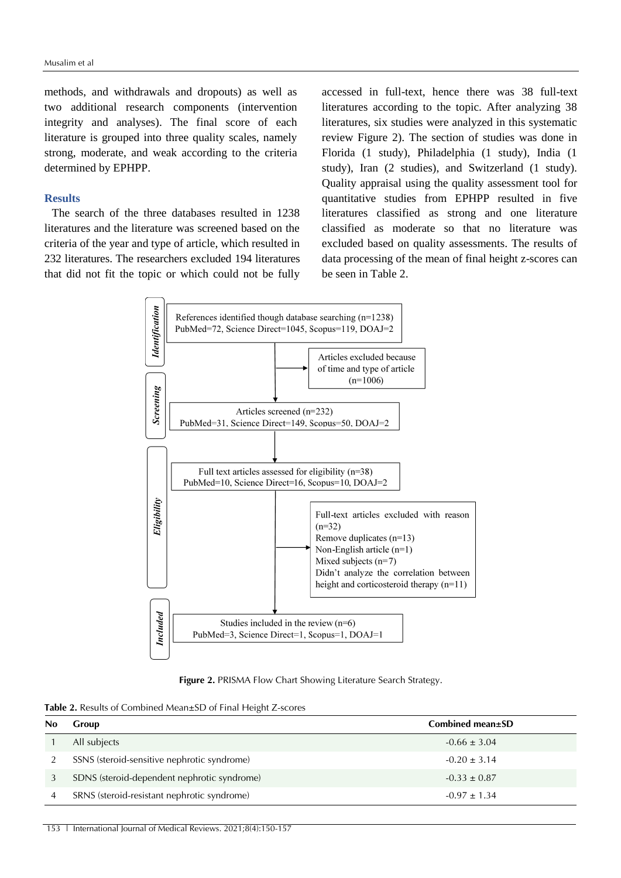methods, and withdrawals and dropouts) as well as two additional research components (intervention integrity and analyses). The final score of each literature is grouped into three quality scales, namely strong, moderate, and weak according to the criteria determined by EPHPP.

### **Results**

The search of the three databases resulted in 1238 literatures and the literature was screened based on the criteria of the year and type of article, which resulted in 232 literatures. The researchers excluded 194 literatures that did not fit the topic or which could not be fully

accessed in full-text, hence there was 38 full-text literatures according to the topic. After analyzing 38 literatures, six studies were analyzed in this systematic review Figure 2). The section of studies was done in Florida (1 study), Philadelphia (1 study), India (1 study), Iran (2 studies), and Switzerland (1 study). Quality appraisal using the quality assessment tool for quantitative studies from EPHPP resulted in five literatures classified as strong and one literature classified as moderate so that no literature was excluded based on quality assessments. The results of data processing of the mean of final height z-scores can be seen in Table 2.



**Figure 2.** PRISMA Flow Chart Showing Literature Search Strategy.

**Table 2.** Results of Combined Mean±SD of Final Height Z-scores

| No | Group                                       | Combined mean±SD |
|----|---------------------------------------------|------------------|
|    | All subjects                                | $-0.66 \pm 3.04$ |
|    | SSNS (steroid-sensitive nephrotic syndrome) | $-0.20 \pm 3.14$ |
|    | SDNS (steroid-dependent nephrotic syndrome) | $-0.33 \pm 0.87$ |
|    | SRNS (steroid-resistant nephrotic syndrome) | $-0.97 \pm 1.34$ |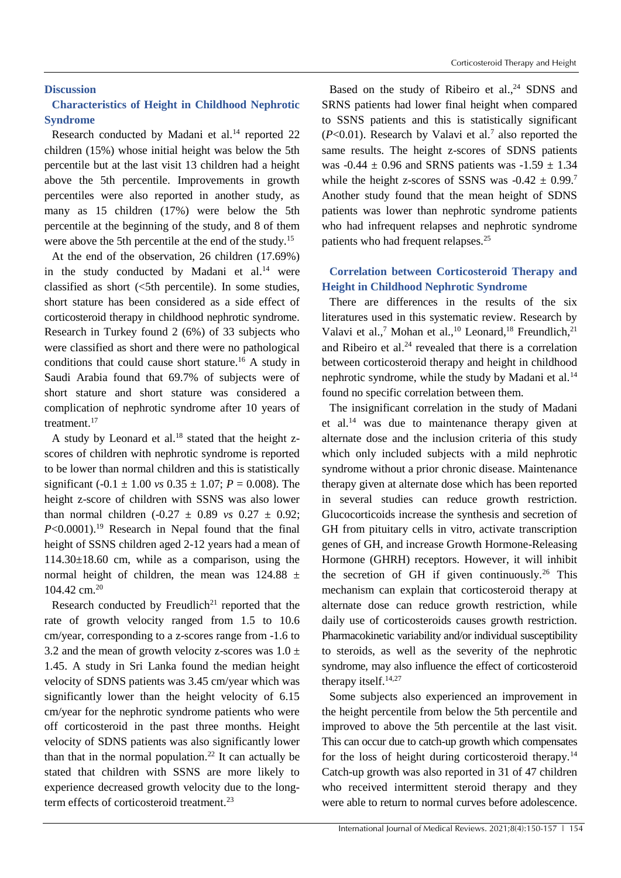### **Discussion**

# **Characteristics of Height in Childhood Nephrotic Syndrome**

Research conducted by Madani et al.<sup>14</sup> reported 22 children (15%) whose initial height was below the 5th percentile but at the last visit 13 children had a height above the 5th percentile. Improvements in growth percentiles were also reported in another study, as many as 15 children (17%) were below the 5th percentile at the beginning of the study, and 8 of them were above the 5th percentile at the end of the study.<sup>15</sup>

At the end of the observation, 26 children (17.69%) in the study conducted by Madani et  $al^{14}$  were classified as short  $(\leq 5$ th percentile). In some studies, short stature has been considered as a side effect of corticosteroid therapy in childhood nephrotic syndrome. Research in Turkey found 2 (6%) of 33 subjects who were classified as short and there were no pathological conditions that could cause short stature.<sup>16</sup> A study in Saudi Arabia found that 69.7% of subjects were of short stature and short stature was considered a complication of nephrotic syndrome after 10 years of treatment.<sup>17</sup>

A study by Leonard et al.<sup>18</sup> stated that the height zscores of children with nephrotic syndrome is reported to be lower than normal children and this is statistically significant (-0.1  $\pm$  1.00 *vs* 0.35  $\pm$  1.07; *P* = 0.008). The height z-score of children with SSNS was also lower than normal children  $(-0.27 \pm 0.89 \text{ vs } 0.27 \pm 0.92)$ ;  $P<0.0001$ .<sup>19</sup> Research in Nepal found that the final height of SSNS children aged 2-12 years had a mean of 114.30±18.60 cm, while as a comparison, using the normal height of children, the mean was  $124.88 \pm$ 104.42 cm.<sup>20</sup>

Research conducted by Freudlich<sup>21</sup> reported that the rate of growth velocity ranged from 1.5 to 10.6 cm/year, corresponding to a z-scores range from -1.6 to 3.2 and the mean of growth velocity z-scores was  $1.0 \pm$ 1.45. A study in Sri Lanka found the median height velocity of SDNS patients was 3.45 cm/year which was significantly lower than the height velocity of 6.15 cm/year for the nephrotic syndrome patients who were off corticosteroid in the past three months. Height velocity of SDNS patients was also significantly lower than that in the normal population.<sup>22</sup> It can actually be stated that children with SSNS are more likely to experience decreased growth velocity due to the longterm effects of corticosteroid treatment.<sup>23</sup>

Based on the study of Ribeiro et al., <sup>24</sup> SDNS and SRNS patients had lower final height when compared to SSNS patients and this is statistically significant  $(P<0.01)$ . Research by Valavi et al.<sup>7</sup> also reported the same results. The height z-scores of SDNS patients was  $-0.44 \pm 0.96$  and SRNS patients was  $-1.59 \pm 1.34$ while the height z-scores of SSNS was  $-0.42 \pm 0.99$ .<sup>7</sup> Another study found that the mean height of SDNS patients was lower than nephrotic syndrome patients who had infrequent relapses and nephrotic syndrome patients who had frequent relapses.<sup>25</sup>

# **Correlation between Corticosteroid Therapy and Height in Childhood Nephrotic Syndrome**

There are differences in the results of the six literatures used in this systematic review. Research by Valavi et al.,<sup>7</sup> Mohan et al.,<sup>10</sup> Leonard,<sup>18</sup> Freundlich,<sup>21</sup> and Ribeiro et al. $24$  revealed that there is a correlation between corticosteroid therapy and height in childhood nephrotic syndrome, while the study by Madani et al.<sup>14</sup> found no specific correlation between them.

The insignificant correlation in the study of Madani et al.<sup>14</sup> was due to maintenance therapy given at alternate dose and the inclusion criteria of this study which only included subjects with a mild nephrotic syndrome without a prior chronic disease. Maintenance therapy given at alternate dose which has been reported in several studies can reduce growth restriction. Glucocorticoids increase the synthesis and secretion of GH from pituitary cells in vitro, activate transcription genes of GH, and increase Growth Hormone-Releasing Hormone (GHRH) receptors. However, it will inhibit the secretion of GH if given continuously.<sup>26</sup> This mechanism can explain that corticosteroid therapy at alternate dose can reduce growth restriction, while daily use of corticosteroids causes growth restriction. Pharmacokinetic variability and/or individual susceptibility to steroids, as well as the severity of the nephrotic syndrome, may also influence the effect of corticosteroid therapy itself.<sup>14,27</sup>

Some subjects also experienced an improvement in the height percentile from below the 5th percentile and improved to above the 5th percentile at the last visit. This can occur due to catch-up growth which compensates for the loss of height during corticosteroid therapy.<sup>14</sup> Catch-up growth was also reported in 31 of 47 children who received intermittent steroid therapy and they were able to return to normal curves before adolescence.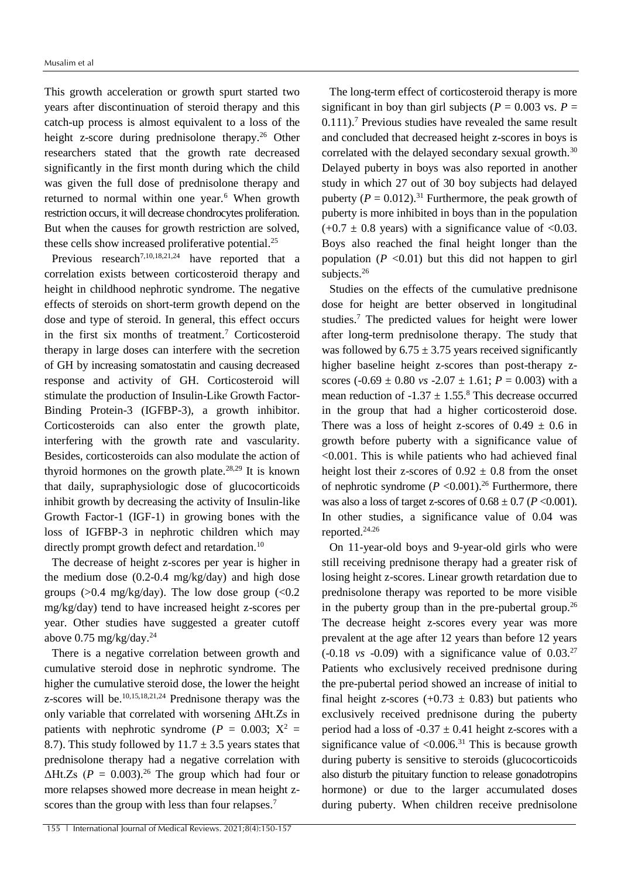This growth acceleration or growth spurt started two years after discontinuation of steroid therapy and this catch-up process is almost equivalent to a loss of the height z-score during prednisolone therapy.<sup>26</sup> Other researchers stated that the growth rate decreased significantly in the first month during which the child was given the full dose of prednisolone therapy and returned to normal within one year.<sup>6</sup> When growth restriction occurs, it will decrease chondrocytes proliferation. But when the causes for growth restriction are solved, these cells show increased proliferative potential.<sup>25</sup>

Previous research<sup>7,10,18,21,24</sup> have reported that a correlation exists between corticosteroid therapy and height in childhood nephrotic syndrome. The negative effects of steroids on short-term growth depend on the dose and type of steroid. In general, this effect occurs in the first six months of treatment.<sup>7</sup> Corticosteroid therapy in large doses can interfere with the secretion of GH by increasing somatostatin and causing decreased response and activity of GH. Corticosteroid will stimulate the production of Insulin-Like Growth Factor-Binding Protein-3 (IGFBP-3), a growth inhibitor. Corticosteroids can also enter the growth plate, interfering with the growth rate and vascularity. Besides, corticosteroids can also modulate the action of thyroid hormones on the growth plate.<sup>28,29</sup> It is known that daily, supraphysiologic dose of glucocorticoids inhibit growth by decreasing the activity of Insulin-like Growth Factor-1 (IGF-1) in growing bones with the loss of IGFBP-3 in nephrotic children which may directly prompt growth defect and retardation.<sup>10</sup>

The decrease of height z-scores per year is higher in the medium dose (0.2-0.4 mg/kg/day) and high dose groups ( $>0.4$  mg/kg/day). The low dose group ( $< 0.2$ ) mg/kg/day) tend to have increased height z-scores per year. Other studies have suggested a greater cutoff above  $0.75 \text{ mg/kg/day}$ .<sup>24</sup>

There is a negative correlation between growth and cumulative steroid dose in nephrotic syndrome. The higher the cumulative steroid dose, the lower the height z-scores will be.10,15,18,21,24 Prednisone therapy was the only variable that correlated with worsening ΔHt.Zs in patients with nephrotic syndrome ( $P = 0.003$ ;  $X^2 =$ 8.7). This study followed by  $11.7 \pm 3.5$  years states that prednisolone therapy had a negative correlation with  $\Delta Ht.Zs$  ( $P = 0.003$ )<sup>26</sup> The group which had four or more relapses showed more decrease in mean height zscores than the group with less than four relapses.<sup>7</sup>

The long-term effect of corticosteroid therapy is more significant in boy than girl subjects ( $P = 0.003$  vs.  $P =$  $0.111$ ).<sup>7</sup> Previous studies have revealed the same result and concluded that decreased height z-scores in boys is correlated with the delayed secondary sexual growth.<sup>30</sup> Delayed puberty in boys was also reported in another study in which 27 out of 30 boy subjects had delayed puberty  $(P = 0.012)^{31}$  Furthermore, the peak growth of puberty is more inhibited in boys than in the population  $(+0.7 \pm 0.8$  years) with a significance value of  $\langle 0.03$ . Boys also reached the final height longer than the population  $(P \le 0.01)$  but this did not happen to girl subjects.<sup>26</sup>

Studies on the effects of the cumulative prednisone dose for height are better observed in longitudinal studies.<sup>7</sup> The predicted values for height were lower after long-term prednisolone therapy. The study that was followed by  $6.75 \pm 3.75$  years received significantly higher baseline height z-scores than post-therapy zscores  $(-0.69 \pm 0.80 \text{ vs } -2.07 \pm 1.61; P = 0.003)$  with a mean reduction of  $-1.37 \pm 1.55$ .<sup>8</sup> This decrease occurred in the group that had a higher corticosteroid dose. There was a loss of height z-scores of  $0.49 \pm 0.6$  in growth before puberty with a significance value of <0.001. This is while patients who had achieved final height lost their z-scores of  $0.92 \pm 0.8$  from the onset of nephrotic syndrome  $(P \le 0.001)$ .<sup>26</sup> Furthermore, there was also a loss of target z-scores of  $0.68 \pm 0.7$  ( $P < 0.001$ ). In other studies, a significance value of 0.04 was reported. 24.26

On 11-year-old boys and 9-year-old girls who were still receiving prednisone therapy had a greater risk of losing height z-scores. Linear growth retardation due to prednisolone therapy was reported to be more visible in the puberty group than in the pre-pubertal group.<sup>26</sup> The decrease height z-scores every year was more prevalent at the age after 12 years than before 12 years  $(-0.18 \text{ vs } -0.09)$  with a significance value of  $0.03<sup>27</sup>$ Patients who exclusively received prednisone during the pre-pubertal period showed an increase of initial to final height z-scores  $(+0.73 \pm 0.83)$  but patients who exclusively received prednisone during the puberty period had a loss of  $-0.37 \pm 0.41$  height z-scores with a significance value of  $< 0.006$ .<sup>31</sup> This is because growth during puberty is sensitive to steroids (glucocorticoids also disturb the pituitary function to release gonadotropins hormone) or due to the larger accumulated doses during puberty. When children receive prednisolone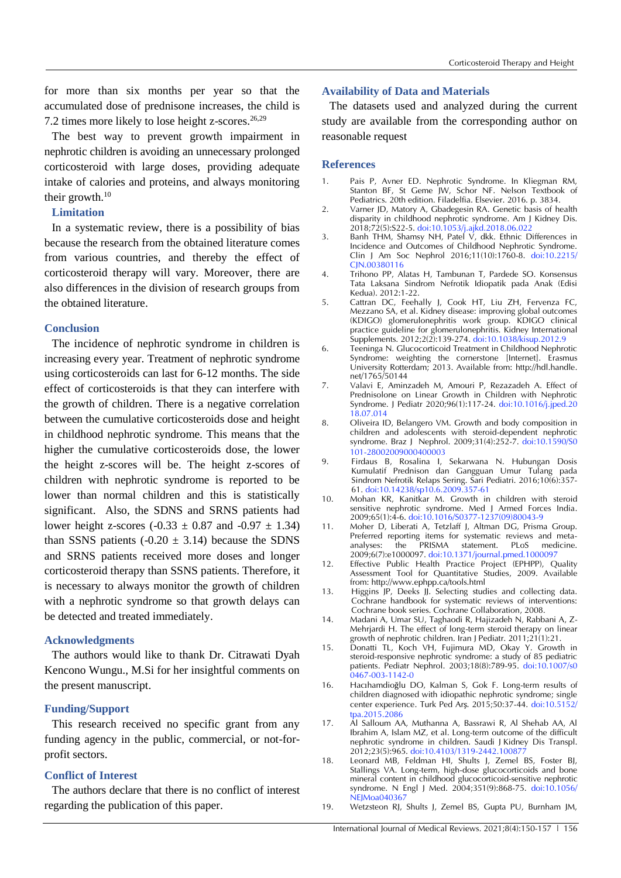for more than six months per year so that the accumulated dose of prednisone increases, the child is 7.2 times more likely to lose height z-scores.<sup>26,29</sup>

The best way to prevent growth impairment in nephrotic children is avoiding an unnecessary prolonged corticosteroid with large doses, providing adequate intake of calories and proteins, and always monitoring their growth. $10$ 

# **Limitation**

In a systematic review, there is a possibility of bias because the research from the obtained literature comes from various countries, and thereby the effect of corticosteroid therapy will vary. Moreover, there are also differences in the division of research groups from the obtained literature.

### **Conclusion**

The incidence of nephrotic syndrome in children is increasing every year. Treatment of nephrotic syndrome using corticosteroids can last for 6-12 months. The side effect of corticosteroids is that they can interfere with the growth of children. There is a negative correlation between the cumulative corticosteroids dose and height in childhood nephrotic syndrome. This means that the higher the cumulative corticosteroids dose, the lower the height z-scores will be. The height z-scores of children with nephrotic syndrome is reported to be lower than normal children and this is statistically significant. Also, the SDNS and SRNS patients had lower height z-scores  $(-0.33 \pm 0.87 \text{ and } -0.97 \pm 1.34)$ than SSNS patients (-0.20  $\pm$  3.14) because the SDNS and SRNS patients received more doses and longer corticosteroid therapy than SSNS patients. Therefore, it is necessary to always monitor the growth of children with a nephrotic syndrome so that growth delays can be detected and treated immediately.

#### **Acknowledgments**

The authors would like to thank Dr. Citrawati Dyah Kencono Wungu., M.Si for her insightful comments on the present manuscript.

### **Funding/Support**

This research received no specific grant from any funding agency in the public, commercial, or not-forprofit sectors.

## **Conflict of Interest**

The authors declare that there is no conflict of interest regarding the publication of this paper.

#### **Availability of Data and Materials**

The datasets used and analyzed during the current study are available from the corresponding author on reasonable request

#### **References**

- 1. Pais P, Avner ED. Nephrotic Syndrome. In Kliegman RM, Stanton BF, St Geme IW, Schor NF. Nelson Textbook of Pediatrics. 20th edition. Filadelfia. Elsevier. 2016. p. 3834.
- 2. Varner JD, Matory A, Gbadegesin RA. Genetic basis of health disparity in childhood nephrotic syndrome. Am J Kidney Dis. 2018;72(5):S22-5. [doi:10.1053/j.ajkd.2018.06.022](https://doi.org/10.1053/j.ajkd.2018.06.022)
- 3. Banh THM, Shamsy NH, Patel V, dkk. Ethnic Differences in Incidence and Outcomes of Childhood Nephrotic Syndrome. Clin J Am Soc Nephrol 2016;11(10):1760-8. do[i:10.2215/](https://doi.org/10.2215/cjn.00380116) [CJN.00380116](https://doi.org/10.2215/cjn.00380116)
- 4. Trihono PP, Alatas H, Tambunan T, Pardede SO. Konsensus Tata Laksana Sindrom Nefrotik Idiopatik pada Anak (Edisi Kedua). 2012:1-22.
- 5. Cattran DC, Feehally J, Cook HT, Liu ZH, Fervenza FC, Mezzano SA, et al. Kidney disease: improving global outcomes (KDIGO) glomerulonephritis work group. KDIGO clinical practice guideline for glomerulonephritis. Kidney International Supplements. 2012;2(2):139-274. doi:10.1038/kisup.2012.9
- 6. Teeninga N. Glucocorticoid Treatment in Childhood Nephrotic Syndrome: weighting the cornerstone [Internet]. Erasmus University Rotterdam; 2013. Available from: [http://hdl.handle.](http://hdl.handle/) net/1765/50144
- 7. Valavi E, Aminzadeh M, Amouri P, Rezazadeh A. Effect of Prednisolone on Linear Growth in Children with Nephrotic Syndrome. J Pediatr 2020;96(1):117-24. [doi:10.1016/j.jped.20](https://doi.org/10.1016/j.jped.2018.07.014) [18.07.014](https://doi.org/10.1016/j.jped.2018.07.014)
- 8. Oliveira ID, Belangero VM. Growth and body composition in children and adolescents with steroid-dependent nephrotic syndrome. Braz J Nephrol. 2009;31(4):252-7. [doi:10.1590/S0](https://doi.org/10.1590/S0101-28002009000400003) [101-28002009000400003](https://doi.org/10.1590/S0101-28002009000400003)
- 9. Firdaus B, Rosalina I, Sekarwana N. Hubungan Dosis Kumulatif Prednison dan Gangguan Umur Tulang pada Sindrom Nefrotik Relaps Sering. Sari Pediatri. 2016;10(6):357- 61. [doi:10.14238/sp10.6.2009.357-61](https://dx.doi.org/10.14238/sp10.6.2009.357-61)
- 10. Mohan KR, Kanitkar M. Growth in children with steroid sensitive nephrotic syndrome. Med J Armed Forces India. 2009;65(1):4-6. [doi:10.1016/S0377-1237\(09\)80043-9](https://doi.org/10.1016/S0377-1237(09)80043-9)
- 11. Moher D, Liberati A, Tetzlaff J, Altman DG, Prisma Group. Preferred reporting items for systematic reviews and metaanalyses: the PRISMA statement. PLoS medicine. 2009;6(7):e1000097. [doi:10.1371/journal.pmed.1000097](https://doi.org/10.1371/journal.pmed.1000097)
- 12. Effective Public Health Practice Project (EPHPP), Quality Assessment Tool for Quantitative Studies, 2009. Available from: <http://www.ephpp.ca/tools.html>
- 13. Higgins JP, Deeks JJ. Selecting studies and collecting data. Cochrane handbook for systematic reviews of interventions: Cochrane book series. Cochrane Collaboration, 2008.
- 14. Madani A, Umar SU, Taghaodi R, Hajizadeh N, Rabbani A, Z-Mehrjardi H. The effect of long-term steroid therapy on linear growth of nephrotic children. Iran J Pediatr. 2011;21(1):21.
- 15. Donatti TL, Koch VH, Fujimura MD, Okay Y. Growth in steroid-responsive nephrotic syndrome: a study of 85 pediatric patients. Pediatr Nephrol. 2003;18(8):789-95. [doi:10.1007/s0](https://doi.org/10.1007/s00467-003-1142-0) [0467-003-1142-0](https://doi.org/10.1007/s00467-003-1142-0)
- 16. Hacıhamdioğlu DO, Kalman S, Gok F. Long-term results of children diagnosed with idiopathic nephrotic syndrome; single center experience. Turk Ped Arş. 2015;50:37-44. do[i:10.5152/](https://doi.org/10.5152/tpa.2015.2086) [tpa.2015.2086](https://doi.org/10.5152/tpa.2015.2086)
- 17. Al Salloum AA, Muthanna A, Bassrawi R, Al Shehab AA, Al Ibrahim A, Islam MZ, et al. Long-term outcome of the difficult nephrotic syndrome in children. Saudi J Kidney Dis Transpl. 2012;23(5):965. doi:10.4103/1319-2442.100877
- 18. Leonard MB, Feldman HI, Shults J, Zemel BS, Foster BJ, Stallings VA. Long-term, high-dose glucocorticoids and bone mineral content in childhood glucocorticoid-sensitive nephrotic syndrome. N Engl J Med. 2004;351(9):868-75. doi:10.1056/ NEIMoa040367
- 19. Wetzsteon RJ, Shults J, Zemel BS, Gupta PU, Burnham JM,